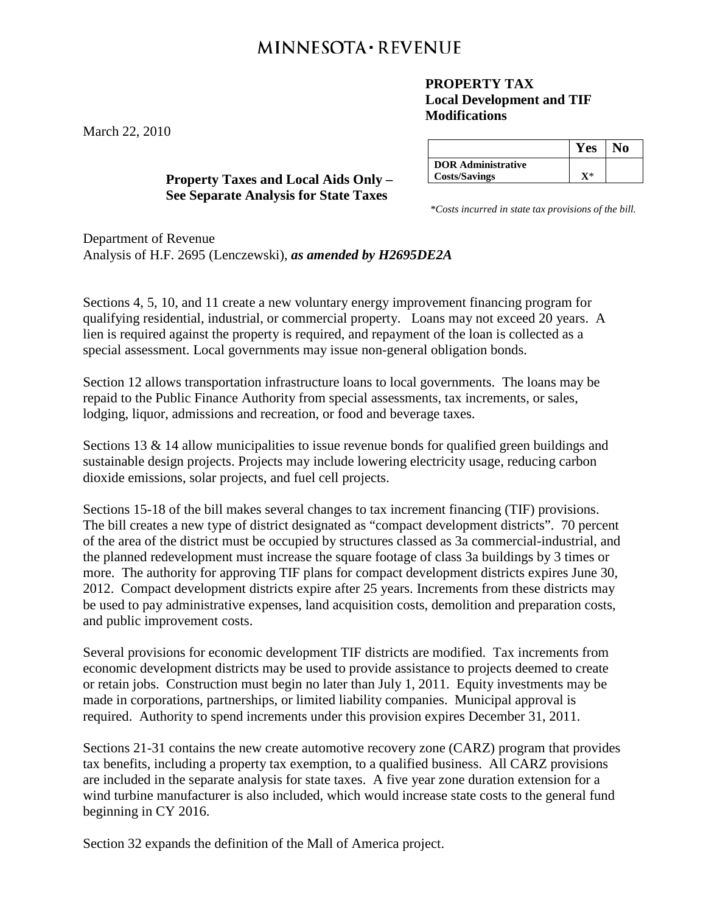## **MINNESOTA · REVENUE**

## **PROPERTY TAX Local Development and TIF Modifications**

**Yes No DOR Administrative Costs/Savings X**\*

\**Costs incurred in state tax provisions of the bill.*

Department of Revenue Analysis of H.F. 2695 (Lenczewski), *as amended by H2695DE2A*

Sections 4, 5, 10, and 11 create a new voluntary energy improvement financing program for qualifying residential, industrial, or commercial property. Loans may not exceed 20 years. A lien is required against the property is required, and repayment of the loan is collected as a special assessment. Local governments may issue non-general obligation bonds.

Section 12 allows transportation infrastructure loans to local governments. The loans may be repaid to the Public Finance Authority from special assessments, tax increments, or sales, lodging, liquor, admissions and recreation, or food and beverage taxes.

Sections 13 & 14 allow municipalities to issue revenue bonds for qualified green buildings and sustainable design projects. Projects may include lowering electricity usage, reducing carbon dioxide emissions, solar projects, and fuel cell projects.

Sections 15-18 of the bill makes several changes to tax increment financing (TIF) provisions. The bill creates a new type of district designated as "compact development districts". 70 percent of the area of the district must be occupied by structures classed as 3a commercial-industrial, and the planned redevelopment must increase the square footage of class 3a buildings by 3 times or more. The authority for approving TIF plans for compact development districts expires June 30, 2012. Compact development districts expire after 25 years. Increments from these districts may be used to pay administrative expenses, land acquisition costs, demolition and preparation costs, and public improvement costs.

Several provisions for economic development TIF districts are modified. Tax increments from economic development districts may be used to provide assistance to projects deemed to create or retain jobs. Construction must begin no later than July 1, 2011. Equity investments may be made in corporations, partnerships, or limited liability companies. Municipal approval is required. Authority to spend increments under this provision expires December 31, 2011.

Sections 21-31 contains the new create automotive recovery zone (CARZ) program that provides tax benefits, including a property tax exemption, to a qualified business. All CARZ provisions are included in the separate analysis for state taxes. A five year zone duration extension for a wind turbine manufacturer is also included, which would increase state costs to the general fund beginning in CY 2016.

Section 32 expands the definition of the Mall of America project.

**Property Taxes and Local Aids Only – See Separate Analysis for State Taxes**

March 22, 2010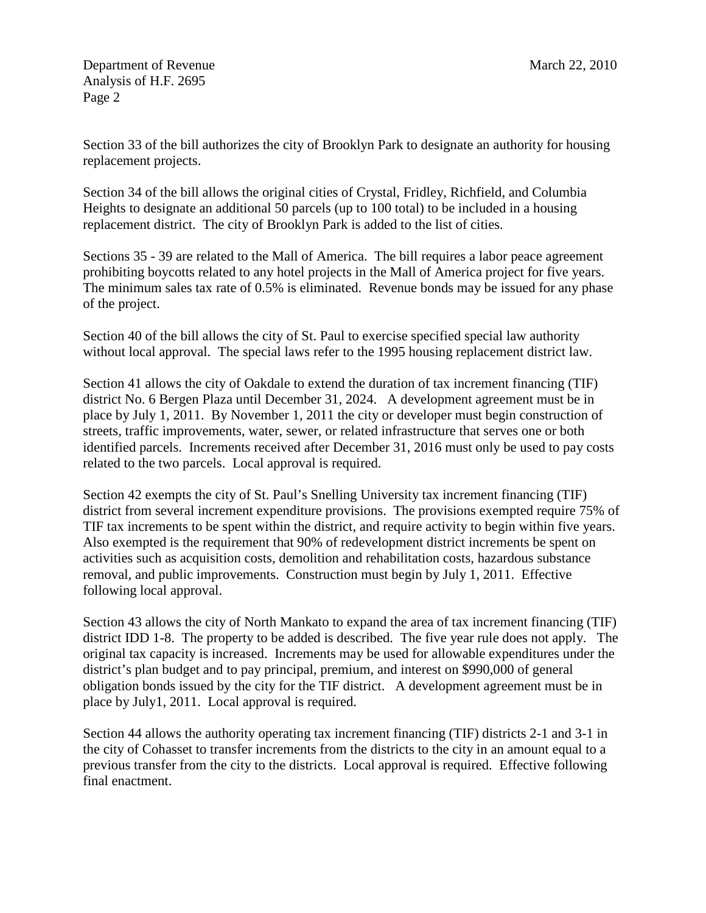Department of Revenue March 22, 2010 Analysis of H.F. 2695 Page 2

Section 33 of the bill authorizes the city of Brooklyn Park to designate an authority for housing replacement projects.

Section 34 of the bill allows the original cities of Crystal, Fridley, Richfield, and Columbia Heights to designate an additional 50 parcels (up to 100 total) to be included in a housing replacement district. The city of Brooklyn Park is added to the list of cities.

Sections 35 - 39 are related to the Mall of America. The bill requires a labor peace agreement prohibiting boycotts related to any hotel projects in the Mall of America project for five years. The minimum sales tax rate of 0.5% is eliminated. Revenue bonds may be issued for any phase of the project.

Section 40 of the bill allows the city of St. Paul to exercise specified special law authority without local approval. The special laws refer to the 1995 housing replacement district law.

Section 41 allows the city of Oakdale to extend the duration of tax increment financing (TIF) district No. 6 Bergen Plaza until December 31, 2024. A development agreement must be in place by July 1, 2011. By November 1, 2011 the city or developer must begin construction of streets, traffic improvements, water, sewer, or related infrastructure that serves one or both identified parcels. Increments received after December 31, 2016 must only be used to pay costs related to the two parcels. Local approval is required.

Section 42 exempts the city of St. Paul's Snelling University tax increment financing (TIF) district from several increment expenditure provisions. The provisions exempted require 75% of TIF tax increments to be spent within the district, and require activity to begin within five years. Also exempted is the requirement that 90% of redevelopment district increments be spent on activities such as acquisition costs, demolition and rehabilitation costs, hazardous substance removal, and public improvements. Construction must begin by July 1, 2011. Effective following local approval.

Section 43 allows the city of North Mankato to expand the area of tax increment financing (TIF) district IDD 1-8. The property to be added is described. The five year rule does not apply. The original tax capacity is increased. Increments may be used for allowable expenditures under the district's plan budget and to pay principal, premium, and interest on \$990,000 of general obligation bonds issued by the city for the TIF district. A development agreement must be in place by July1, 2011. Local approval is required.

Section 44 allows the authority operating tax increment financing (TIF) districts 2-1 and 3-1 in the city of Cohasset to transfer increments from the districts to the city in an amount equal to a previous transfer from the city to the districts. Local approval is required. Effective following final enactment.